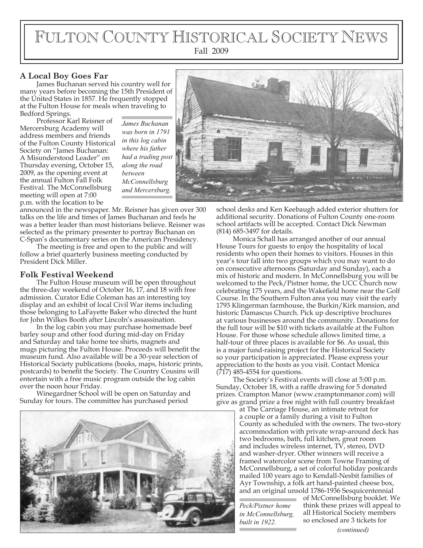# FULTON COUNTY HISTORICAL SOCIETY NEWS Fall 2009

#### **A Local Boy Goes Far**

James Buchanan served his country well for many years before becoming the 15th President of the United States in 1857. He frequently stopped at the Fulton House for meals when traveling to Bedford Springs.

Professor Karl Reisner of Mercersburg Academy will address members and friends of the Fulton County Historical Society on "James Buchanan: A Misunderstood Leader" on Thursday evening, October 15, 2009, as the opening event at the annual Fulton Fall Folk Festival. The McConnellsburg meeting will open at 7:00 p.m. with the location to be

*James Buchanan was born in 1791 in this log cabin where his father had a trading post along the road between McConnellsburg and Mercersburg.*

announced in the newspaper. Mr. Reisner has given over 300 talks on the life and times of James Buchanan and feels he was a better leader than most historians believe. Reisner was selected as the primary presenter to portray Buchanan on C-Span's documentary series on the American Presidency.

The meeting is free and open to the public and will follow a brief quarterly business meeting conducted by President Dick Miller.

#### **Folk Festival Weekend**

The Fulton House museum will be open throughout the three-day weekend of October 16, 17, and 18 with free admission. Curator Edie Coleman has an interesting toy display and an exhibit of local Civil War items including those belonging to LaFayette Baker who directed the hunt for John Wilkes Booth after Lincoln's assassination.

In the log cabin you may purchase homemade beef barley soup and other food during mid-day on Friday and Saturday and take home tee shirts, magnets and mugs picturing the Fulton House. Proceeds will benefit the museum fund. Also available will be a 30-year selection of Historical Society publications (books, maps, historic prints, postcards) to benefit the Society. The Country Cousins will entertain with a free music program outside the log cabin over the noon hour Friday.

Winegardner School will be open on Saturday and Sunday for tours. The committee has purchased period





school desks and Ken Keebaugh added exterior shutters for additional security. Donations of Fulton County one-room school artifacts will be accepted. Contact Dick Newman (814) 685-3497 for details.

Monica Schall has arranged another of our annual House Tours for guests to enjoy the hospitality of local residents who open their homes to visitors. Houses in this year's tour fall into two groups which you may want to do on consecutive afternoons (Saturday and Sunday), each a mix of historic and modern. In McConnellsburg you will be welcomed to the Peck/Pistner home, the UCC Church now celebrating 175 years, and the Wakefield home near the Golf Course. In the Southern Fulton area you may visit the early 1793 Klingerman farmhouse, the Burkin/Kirk mansion, and historic Damascus Church. Pick up descriptive brochures at various businesses around the community. Donations for the full tour will be \$10 with tickets available at the Fulton House. For those whose schedule allows limited time, a half-tour of three places is available for \$6. As usual, this is a major fund-raising project for the Historical Society so your participation is appreciated. Please express your appreciation to the hosts as you visit. Contact Monica (717) 485-4554 for questions.

The Society's Festival events will close at 5:00 p.m. Sunday, October 18, with a raffle drawing for 5 donated prizes. Crampton Manor (www.cramptonmanor.com) will give as grand prize a free night with full country breakfast

at The Carriage House, an intimate retreat for a couple or a family during a visit to Fulton County as scheduled with the owners. The two-story accommodation with private wrap-around deck has two bedrooms, bath, full kitchen, great room and includes wireless internet, TV, stereo, DVD and washer-dryer. Other winners will receive a framed watercolor scene from Towne Framing of McConnellsburg, a set of colorful holiday postcards mailed 100 years ago to Kendall-Nesbit families of Ayr Township, a folk art hand-painted cheese box, and an original unsold 1786-1936 Sesquicentennial

*Peck/Pistner home in McConnellsburg, built in 1922.*

of McConnellsburg booklet. We think these prizes will appeal to all Historical Society members so enclosed are 3 tickets for

*(continued)*